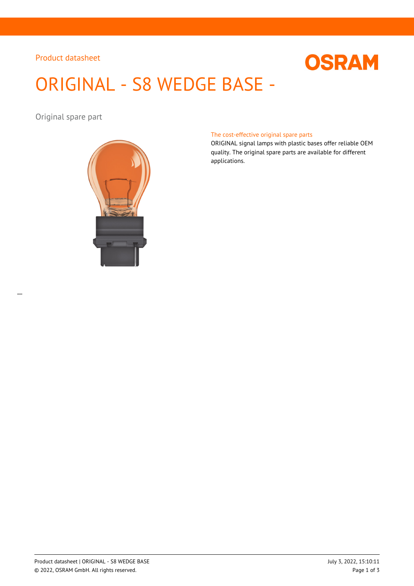## Product datasheet



# ORIGINAL - S8 WEDGE BASE -

Original spare part



#### The cost-effective original spare parts

ORIGINAL signal lamps with plastic bases offer reliable OEM quality. The original spare parts are available for different applications.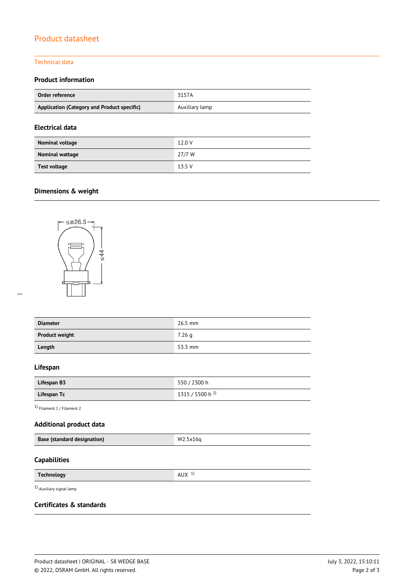# Product datasheet

#### Technical data

## **Product information**

| Order reference                             | 3157A          |
|---------------------------------------------|----------------|
| Application (Category and Product specific) | Auxiliary lamp |
|                                             |                |

## **Electrical data**

| Nominal voltage | 12.0 V |
|-----------------|--------|
| Nominal wattage | 27/7 W |
| Test voltage    | 13.5V  |

# **Dimensions & weight**



| <b>Diameter</b>       | $26.5$ mm |
|-----------------------|-----------|
| <b>Product weight</b> | 7.26q     |
| Length                | 53.3 mm   |

#### **Lifespan**

| Lifespan B3 | 550 / 2300 h                |
|-------------|-----------------------------|
| Lifespan Tc | 1315 / 5500 h <sup>1)</sup> |

1) Filament 1 / Filament 2

## **Additional product data**

| <b>Base (standard designation)</b> | W2.5x16q |
|------------------------------------|----------|
|                                    |          |

## **Capabilities**

| <b>Technology</b> | <b>AUX</b> |
|-------------------|------------|
|                   |            |

1) Auxiliary signal lamp

## **Certificates & standards**